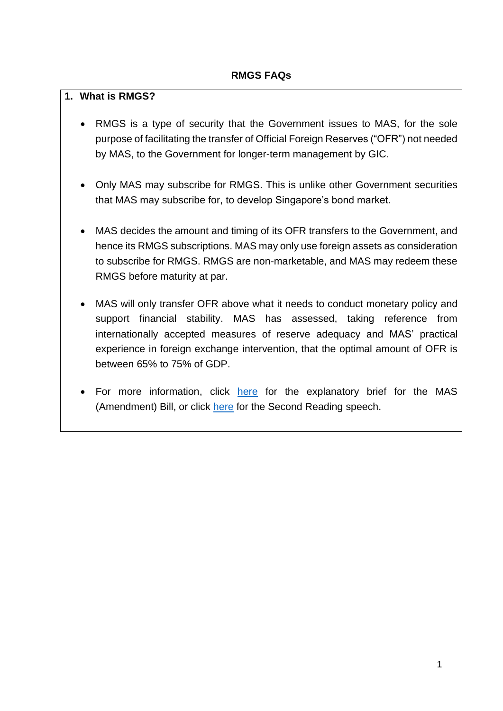#### **1. What is RMGS?**

- RMGS is a type of security that the Government issues to MAS, for the sole purpose of facilitating the transfer of Official Foreign Reserves ("OFR") not needed by MAS, to the Government for longer-term management by GIC.
- Only MAS may subscribe for RMGS. This is unlike other Government securities that MAS may subscribe for, to develop Singapore's bond market.
- MAS decides the amount and timing of its OFR transfers to the Government, and hence its RMGS subscriptions. MAS may only use foreign assets as consideration to subscribe for RMGS. RMGS are non-marketable, and MAS may redeem these RMGS before maturity at par.
- MAS will only transfer OFR above what it needs to conduct monetary policy and support financial stability. MAS has assessed, taking reference from internationally accepted measures of reserve adequacy and MAS' practical experience in foreign exchange intervention, that the optimal amount of OFR is between 65% to 75% of GDP.
- For more information, click [here](https://www.mas.gov.sg/news/speeches/2021/explanatory-brief-for-monetary-authority-of-singapore-amendment-bill-2021) for the explanatory brief for the MAS (Amendment) Bill, or click [here](https://www.mas.gov.sg/news/speeches/2022/mas-amendment-bill---second-reading-speech-by-mr-lawrence-wong-minister-for-finance-and-deputy-chairman-of-mas-on-behalf-of-mr-tharman-shanmugaratnam-senior-minister-and-minister-in-charge-of-mas-on-11-january-2022) for the Second Reading speech.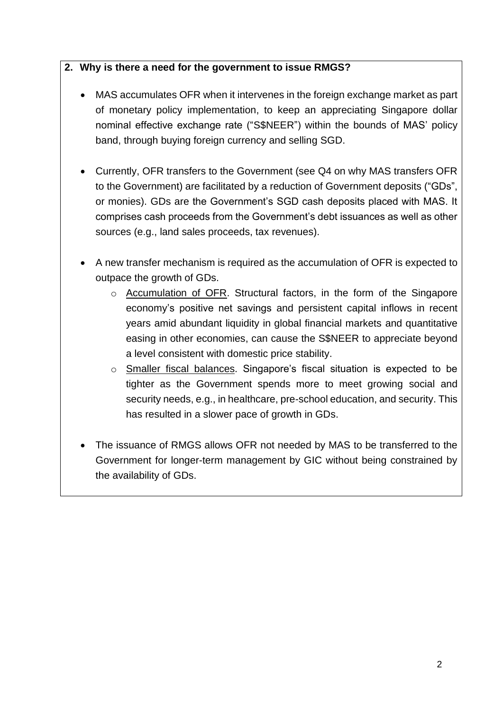#### **2. Why is there a need for the government to issue RMGS?**

- MAS accumulates OFR when it intervenes in the foreign exchange market as part of monetary policy implementation, to keep an appreciating Singapore dollar nominal effective exchange rate ("S\$NEER") within the bounds of MAS' policy band, through buying foreign currency and selling SGD.
- Currently, OFR transfers to the Government (see Q4 on why MAS transfers OFR to the Government) are facilitated by a reduction of Government deposits ("GDs", or monies). GDs are the Government's SGD cash deposits placed with MAS. It comprises cash proceeds from the Government's debt issuances as well as other sources (e.g., land sales proceeds, tax revenues).
- A new transfer mechanism is required as the accumulation of OFR is expected to outpace the growth of GDs.
	- o Accumulation of OFR. Structural factors, in the form of the Singapore economy's positive net savings and persistent capital inflows in recent years amid abundant liquidity in global financial markets and quantitative easing in other economies, can cause the S\$NEER to appreciate beyond a level consistent with domestic price stability.
	- o Smaller fiscal balances. Singapore's fiscal situation is expected to be tighter as the Government spends more to meet growing social and security needs, e.g., in healthcare, pre-school education, and security. This has resulted in a slower pace of growth in GDs.
- The issuance of RMGS allows OFR not needed by MAS to be transferred to the Government for longer-term management by GIC without being constrained by the availability of GDs.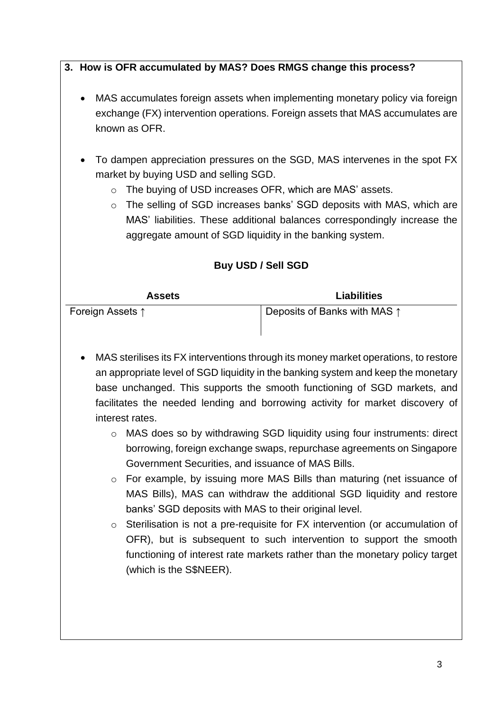## **3. How is OFR accumulated by MAS? Does RMGS change this process?**

- MAS accumulates foreign assets when implementing monetary policy via foreign exchange (FX) intervention operations. Foreign assets that MAS accumulates are known as OFR.
- To dampen appreciation pressures on the SGD, MAS intervenes in the spot FX market by buying USD and selling SGD.
	- o The buying of USD increases OFR, which are MAS' assets.
	- o The selling of SGD increases banks' SGD deposits with MAS, which are MAS' liabilities. These additional balances correspondingly increase the aggregate amount of SGD liquidity in the banking system.

## **Buy USD / Sell SGD**

| <b>Assets</b>    | <b>Liabilities</b>                    |
|------------------|---------------------------------------|
| Foreign Assets ↑ | Deposits of Banks with MAS $\uparrow$ |
|                  |                                       |

- MAS sterilises its FX interventions through its money market operations, to restore an appropriate level of SGD liquidity in the banking system and keep the monetary base unchanged. This supports the smooth functioning of SGD markets, and facilitates the needed lending and borrowing activity for market discovery of interest rates.
	- o MAS does so by withdrawing SGD liquidity using four instruments: direct borrowing, foreign exchange swaps, repurchase agreements on Singapore Government Securities, and issuance of MAS Bills.
	- o For example, by issuing more MAS Bills than maturing (net issuance of MAS Bills), MAS can withdraw the additional SGD liquidity and restore banks' SGD deposits with MAS to their original level.
	- o Sterilisation is not a pre-requisite for FX intervention (or accumulation of OFR), but is subsequent to such intervention to support the smooth functioning of interest rate markets rather than the monetary policy target (which is the S\$NEER).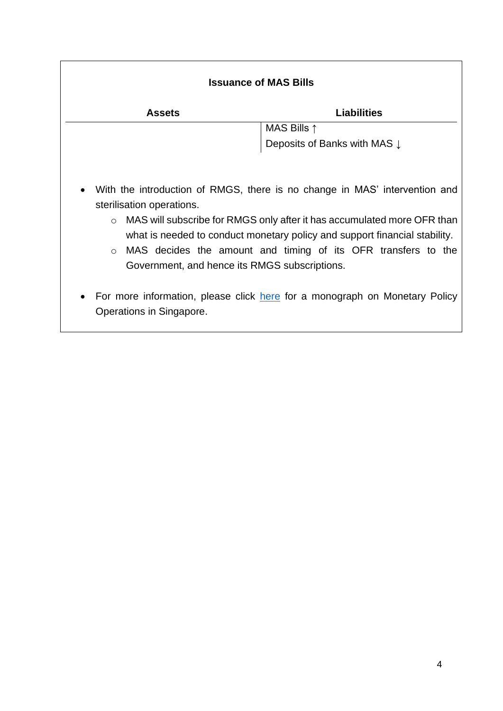| <b>Issuance of MAS Bills</b>                                                                                                                                                                                                                                                                                                                                                                                                                                                                                       |                                         |
|--------------------------------------------------------------------------------------------------------------------------------------------------------------------------------------------------------------------------------------------------------------------------------------------------------------------------------------------------------------------------------------------------------------------------------------------------------------------------------------------------------------------|-----------------------------------------|
| <b>Assets</b>                                                                                                                                                                                                                                                                                                                                                                                                                                                                                                      | <b>Liabilities</b>                      |
|                                                                                                                                                                                                                                                                                                                                                                                                                                                                                                                    | MAS Bills $\uparrow$                    |
|                                                                                                                                                                                                                                                                                                                                                                                                                                                                                                                    | Deposits of Banks with MAS $\downarrow$ |
| With the introduction of RMGS, there is no change in MAS' intervention and<br>sterilisation operations.<br>MAS will subscribe for RMGS only after it has accumulated more OFR than<br>$\circ$<br>what is needed to conduct monetary policy and support financial stability.<br>MAS decides the amount and timing of its OFR transfers to the<br>$\circ$<br>Government, and hence its RMGS subscriptions.<br>For more information, please click here for a monograph on Monetary Policy<br>Operations in Singapore. |                                         |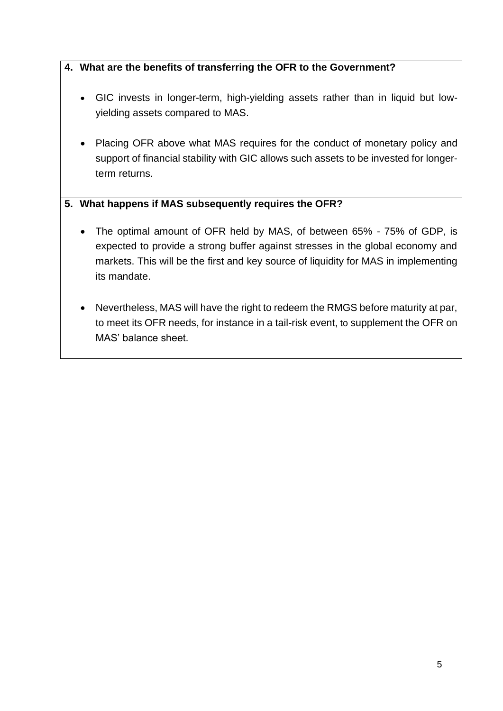## **4. What are the benefits of transferring the OFR to the Government?**

- GIC invests in longer-term, high-yielding assets rather than in liquid but lowyielding assets compared to MAS.
- Placing OFR above what MAS requires for the conduct of monetary policy and support of financial stability with GIC allows such assets to be invested for longerterm returns.

## **5. What happens if MAS subsequently requires the OFR?**

- The optimal amount of OFR held by MAS, of between 65% 75% of GDP, is expected to provide a strong buffer against stresses in the global economy and markets. This will be the first and key source of liquidity for MAS in implementing its mandate.
- Nevertheless, MAS will have the right to redeem the RMGS before maturity at par, to meet its OFR needs, for instance in a tail-risk event, to supplement the OFR on MAS' balance sheet.